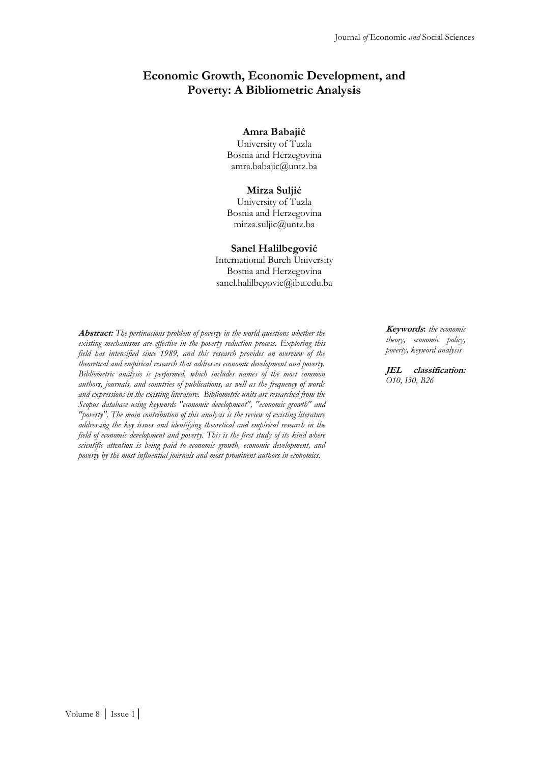# **Economic Growth, Economic Development, and Poverty: A Bibliometric Analysis**

#### **Amra Babajić**

University of Tuzla Bosnia and Herzegovina amra.babajic@untz.ba

#### **Mirza Suljić**

University of Tuzla Bosnia and Herzegovina mirza.suljic@untz.ba

#### **Sanel Halilbegović**

International Burch University Bosnia and Herzegovina sanel.halilbegovic@ibu.edu.ba

**Abstract:** *The pertinacious problem of poverty in the world questions whether the existing mechanisms are effective in the poverty reduction process. Exploring this field has intensified since 1989, and this research provides an overview of the theoretical and empirical research that addresses economic development and poverty. Bibliometric analysis is performed, which includes names of the most common authors, journals, and countries of publications, as well as the frequency of words and expressions in the existing literature. Bibliometric units are researched from the Scopus database using keywords "economic development", "economic growth" and "poverty". The main contribution of this analysis is the review of existing literature addressing the key issues and identifying theoretical and empirical research in the field of economic development and poverty. This is the first study of its kind where scientific attention is being paid to economic growth, economic development, and poverty by the most influential journals and most prominent authors in economics.*

**Keywords:** *the economic theory, economic policy, poverty, keyword analysis*

**JEL classification:** *O10, I30, B26*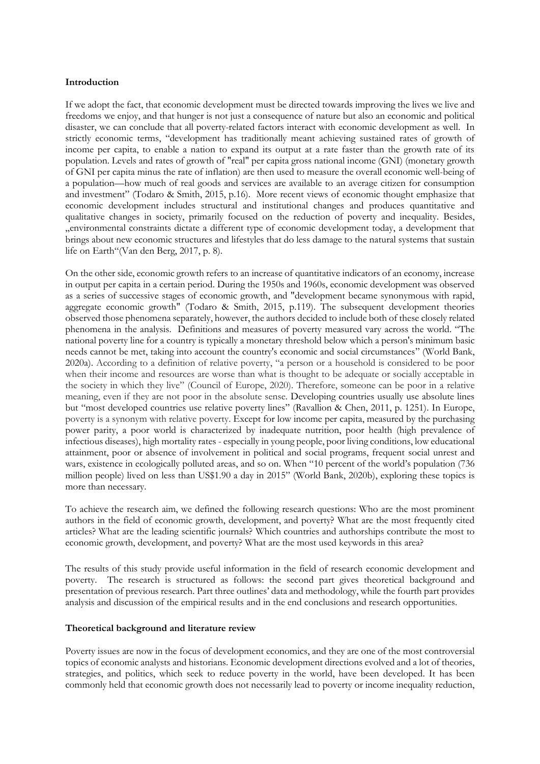### **Introduction**

If we adopt the fact, that economic development must be directed towards improving the lives we live and freedoms we enjoy, and that hunger is not just a consequence of nature but also an economic and political disaster, we can conclude that all poverty-related factors interact with economic development as well. In strictly economic terms, "development has traditionally meant achieving sustained rates of growth of income per capita, to enable a nation to expand its output at a rate faster than the growth rate of its population. Levels and rates of growth of "real" per capita gross national income (GNI) (monetary growth of GNI per capita minus the rate of inflation) are then used to measure the overall economic well-being of a population—how much of real goods and services are available to an average citizen for consumption and investment" (Todaro & Smith, 2015, p.16). More recent views of economic thought emphasize that economic development includes structural and institutional changes and produces quantitative and qualitative changes in society, primarily focused on the reduction of poverty and inequality. Besides, "environmental constraints dictate a different type of economic development today, a development that brings about new economic structures and lifestyles that do less damage to the natural systems that sustain life on Earth"(Van den Berg, 2017, p. 8).

On the other side, economic growth refers to an increase of quantitative indicators of an economy, increase in output per capita in a certain period. During the 1950s and 1960s, economic development was observed as a series of successive stages of economic growth, and "development became synonymous with rapid, aggregate economic growth" (Todaro & Smith, 2015, p.119). The subsequent development theories observed those phenomena separately, however, the authors decided to include both of these closely related phenomena in the analysis. Definitions and measures of poverty measured vary across the world. "The national poverty line for a country is typically a monetary threshold below which a person's minimum basic needs cannot be met, taking into account the country's economic and social circumstances" [\(World Bank,](#page-15-0)  [2020a\)](#page-15-0). According to a definition of relative poverty, "a person or a household is considered to be poor when their income and resources are worse than what is thought to be adequate or socially acceptable in the society in which they live" [\(Council of Europe, 2020\)](#page-13-0). Therefore, someone can be poor in a relative meaning, even if they are not poor in the absolute sense. Developing countries usually use absolute lines but "most developed countries use relative poverty lines" [\(Ravallion & Chen, 2011,](#page-14-0) p. 1251). In Europe, poverty is a synonym with relative poverty. Except for low income per capita, measured by the purchasing power parity, a poor world is characterized by inadequate nutrition, poor health (high prevalence of infectious diseases), high mortality rates - especially in young people, poor living conditions, low educational attainment, poor or absence of involvement in political and social programs, frequent social unrest and wars, existence in ecologically polluted areas, and so on. When "10 percent of the world's population (736 million people) lived on less than US\$1.90 a day in 2015" [\(World Bank, 2020b\)](#page-15-1), exploring these topics is more than necessary.

To achieve the research aim, we defined the following research questions: Who are the most prominent authors in the field of economic growth, development, and poverty? What are the most frequently cited articles? What are the leading scientific journals? Which countries and authorships contribute the most to economic growth, development, and poverty? What are the most used keywords in this area?

The results of this study provide useful information in the field of research economic development and poverty. The research is structured as follows: the second part gives theoretical background and presentation of previous research. Part three outlines' data and methodology, while the fourth part provides analysis and discussion of the empirical results and in the end conclusions and research opportunities.

### **Theoretical background and literature review**

Poverty issues are now in the focus of development economics, and they are one of the most controversial topics of economic analysts and historians. Economic development directions evolved and a lot of theories, strategies, and politics, which seek to reduce poverty in the world, have been developed. It has been commonly held that economic growth does not necessarily lead to poverty or income inequality reduction,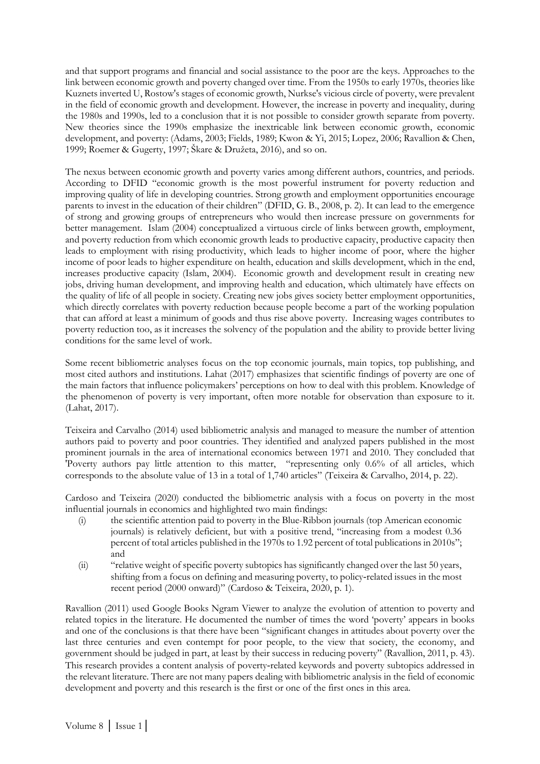and that support programs and financial and social assistance to the poor are the keys. Approaches to the link between economic growth and poverty changed over time. From the 1950s to early 1970s, theories like Kuznets inverted U, Rostow's stages of economic growth, Nurkse's vicious circle of poverty, were prevalent in the field of economic growth and development. However, the increase in poverty and inequality, during the 1980s and 1990s, led to a conclusion that it is not possible to consider growth separate from poverty. New theories since the 1990s emphasize the inextricable link between economic growth, economic development, and poverty: [\(Adams, 2003;](#page-13-1) [Fields, 1989;](#page-13-2) [Kwon & Yi, 2015;](#page-14-1) [Lopez, 2006;](#page-14-2) [Ravallion & Chen,](#page-14-3)  [1999;](#page-14-3) [Roemer & Gugerty, 1997;](#page-14-4) [Škare & Družeta, 2016](#page-14-5)), and so on.

The nexus between economic growth and poverty varies among different authors, countries, and periods. According to DFID "economic growth is the most powerful instrument for poverty reduction and improving quality of life in developing countries. Strong growth and employment opportunities encourage parents to invest in the education of their children" [\(DFID, G. B., 2008,](#page-13-3) p. 2). It can lead to the emergence of strong and growing groups of entrepreneurs who would then increase pressure on governments for better management. Islam (2004) conceptualized a virtuous circle of links between growth, employment, and poverty reduction from which economic growth leads to productive capacity, productive capacity then leads to employment with rising productivity, which leads to higher income of poor, where the higher income of poor leads to higher expenditure on health, education and skills development, which in the end, increases productive capacity (Islam, 2004). Economic growth and development result in creating new jobs, driving human development, and improving health and education, which ultimately have effects on the quality of life of all people in society. Creating new jobs gives society better employment opportunities, which directly correlates with poverty reduction because people become a part of the working population that can afford at least a minimum of goods and thus rise above poverty. Increasing wages contributes to poverty reduction too, as it increases the solvency of the population and the ability to provide better living conditions for the same level of work.

Some recent bibliometric analyses focus on the top economic journals, main topics, top publishing, and most cited authors and institutions. Lahat (2017) emphasizes that scientific findings of poverty are one of the main factors that influence policymakers' perceptions on how to deal with this problem. Knowledge of the phenomenon of poverty is very important, often more notable for observation than exposure to it. (Lahat, 2017).

Teixeira and Carvalho (2014) used bibliometric analysis and managed to measure the number of attention authors paid to poverty and poor countries. They identified and analyzed papers published in the most prominent journals in the area of international economics between 1971 and 2010. They concluded that 'Poverty authors pay little attention to this matter, "representing only 0.6% of all articles, which corresponds to the absolute value of 13 in a total of 1,740 articles" (Teixeira [& Carvalho, 2014,](#page-14-6) p. 22).

Cardoso and Teixeira (2020) conducted the bibliometric analysis with a focus on poverty in the most influential journals in economics and highlighted two main findings:

- (i) the scientific attention paid to poverty in the Blue-Ribbon journals (top American economic journals) is relatively deficient, but with a positive trend, "increasing from a modest 0.36 percent of total articles published in the 1970s to 1.92 percent of total publications in 2010s"; and
- (ii) "relative weight of specific poverty subtopics has significantly changed over the last 50 years, shifting from a focus on defining and measuring poverty, to policy-related issues in the most recent period (2000 onward)" [\(Cardoso & Teixeira,](#page-13-4) 2020, p. 1).

Ravallion (2011) used Google Books Ngram Viewer to analyze the evolution of attention to poverty and related topics in the literature. He documented the number of times the word 'poverty' appears in books and one of the conclusions is that there have been "significant changes in attitudes about poverty over the last three centuries and even contempt for poor people, to the view that society, the economy, and government should be judged in part, at least by their success in reducing poverty" (Ravallion, 2011, p. 43). This research provides a content analysis of poverty-related keywords and poverty subtopics addressed in the relevant literature. There are not many papers dealing with bibliometric analysis in the field of economic development and poverty and this research is the first or one of the first ones in this area.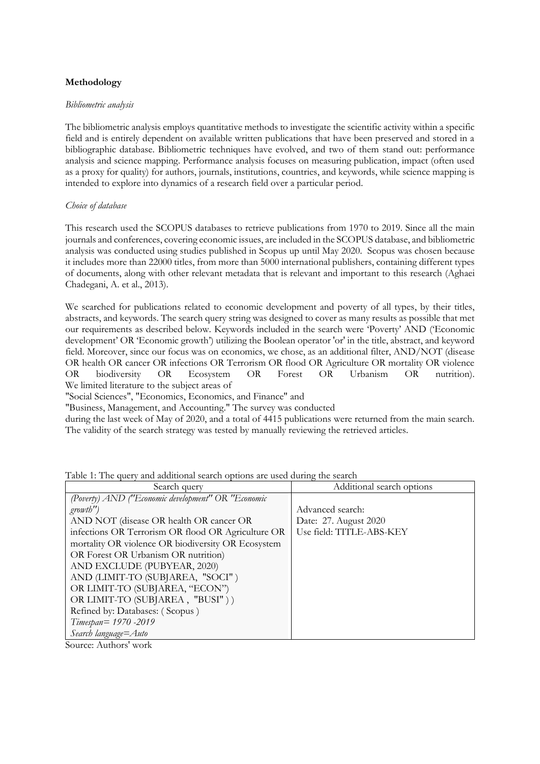## **Methodology**

### *Bibliometric analysis*

The bibliometric analysis employs quantitative methods to investigate the scientific activity within a specific field and is entirely dependent on available written publications that have been preserved and stored in a bibliographic database. Bibliometric techniques have evolved, and two of them stand out: performance analysis and science mapping. Performance analysis focuses on measuring publication, impact (often used as a proxy for quality) for authors, journals, institutions, countries, and keywords, while science mapping is intended to explore into dynamics of a research field over a particular period.

## *Choice of database*

This research used the SCOPUS databases to retrieve publications from 1970 to 2019. Since all the main journals and conferences, covering economic issues, are included in the SCOPUS database, and bibliometric analysis was conducted using studies published in Scopus up until May 2020. Scopus was chosen because it includes more than 22000 titles, from more than 5000 international publishers, containing different types of documents, along with other relevant metadata that is relevant and important to this research [\(Aghaei](#page-13-5)  [Chadegani, A. et al., 2013\)](#page-13-5).

We searched for publications related to economic development and poverty of all types, by their titles, abstracts, and keywords. The search query string was designed to cover as many results as possible that met our requirements as described below. Keywords included in the search were 'Poverty' AND ('Economic development' OR 'Economic growth') utilizing the Boolean operator 'or' in the title, abstract, and keyword field. Moreover, since our focus was on economics, we chose, as an additional filter, AND/NOT (disease OR health OR cancer OR infections OR Terrorism OR flood OR Agriculture OR mortality OR violence OR biodiversity OR Ecosystem OR Forest OR Urbanism OR nutrition). We limited literature to the subject areas of

"Social Sciences", "Economics, Economics, and Finance" and

"Business, Management, and Accounting." The survey was conducted

during the last week of May of 2020, and a total of 4415 publications were returned from the main search. The validity of the search strategy was tested by manually reviewing the retrieved articles.

| Search query                                       | Additional search options |  |  |
|----------------------------------------------------|---------------------------|--|--|
| (Poverty) AND ("Economic development" OR "Economic |                           |  |  |
| <i>growth</i> ")                                   | Advanced search:          |  |  |
| AND NOT (disease OR health OR cancer OR            | Date: 27. August 2020     |  |  |
| infections OR Terrorism OR flood OR Agriculture OR | Use field: TITLE-ABS-KEY  |  |  |
| mortality OR violence OR biodiversity OR Ecosystem |                           |  |  |
| OR Forest OR Urbanism OR nutrition)                |                           |  |  |
| AND EXCLUDE (PUBYEAR, 2020)                        |                           |  |  |
| AND (LIMIT-TO (SUBJAREA, "SOCI")                   |                           |  |  |
| OR LIMIT-TO (SUBJAREA, "ECON")                     |                           |  |  |
| OR LIMIT-TO (SUBJAREA, "BUSI"))                    |                           |  |  |
| Refined by: Databases: (Scopus)                    |                           |  |  |
| Timespan= 1970 -2019                               |                           |  |  |
| Search language=Auto                               |                           |  |  |

Table 1: The query and additional search options are used during the search

Source: Authors' work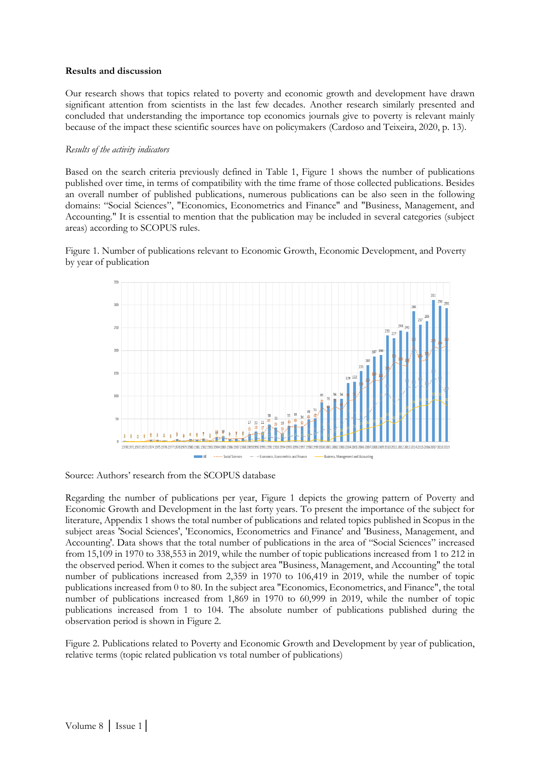### **Results and discussion**

Our research shows that topics related to poverty and economic growth and development have drawn significant attention from scientists in the last few decades. Another research similarly presented and concluded that understanding the importance top economics journals give to poverty is relevant mainly because of the impact these scientific sources have on policymakers (Cardoso and Teixeira, 2020, p. 13).

### *Results of the activity indicators*

Based on the search criteria previously defined in Table 1, Figure 1 shows the number of publications published over time, in terms of compatibility with the time frame of those collected publications. Besides an overall number of published publications, numerous publications can be also seen in the following domains: "Social Sciences", "Economics, Econometrics and Finance" and "Business, Management, and Accounting." It is essential to mention that the publication may be included in several categories (subject areas) according to SCOPUS rules.

Figure 1. Number of publications relevant to Economic Growth, Economic Development, and Poverty by year of publication



Source: Authors' research from the SCOPUS database

Regarding the number of publications per year, Figure 1 depicts the growing pattern of Poverty and Economic Growth and Development in the last forty years. To present the importance of the subject for literature, Appendix 1 shows the total number of publications and related topics published in Scopus in the subject areas 'Social Sciences', 'Economics, Econometrics and Finance' and 'Business, Management, and Accounting'. Data shows that the total number of publications in the area of "Social Sciences" increased from 15,109 in 1970 to 338,553 in 2019, while the number of topic publications increased from 1 to 212 in the observed period. When it comes to the subject area "Business, Management, and Accounting" the total number of publications increased from 2,359 in 1970 to 106,419 in 2019, while the number of topic publications increased from 0 to 80. In the subject area "Economics, Econometrics, and Finance", the total number of publications increased from 1,869 in 1970 to 60,999 in 2019, while the number of topic publications increased from 1 to 104. The absolute number of publications published during the observation period is shown in Figure 2.

Figure 2. Publications related to Poverty and Economic Growth and Development by year of publication, relative terms (topic related publication vs total number of publications)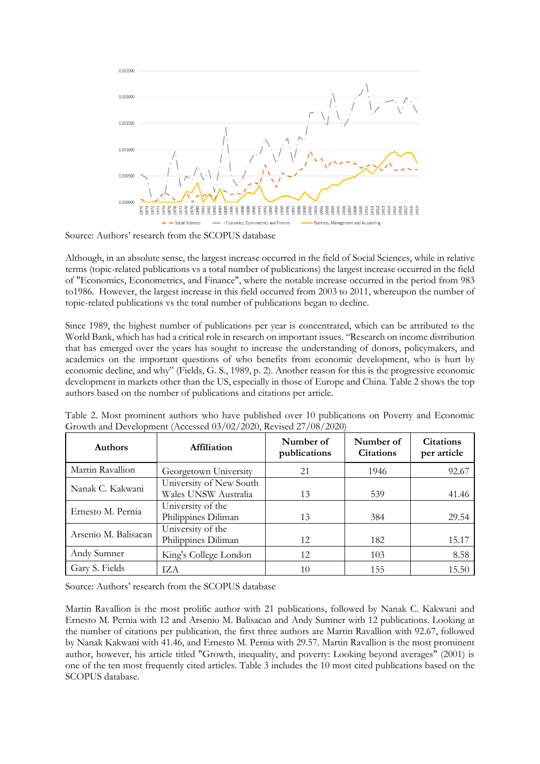

Source: Authors' research from the SCOPUS database

Although, in an absolute sense, the largest increase occurred in the field of Social Sciences, while in relative terms (topic-related publications vs a total number of publications) the largest increase occurred in the field of "Economics, Econometrics, and Finance", where the notable increase occurred in the period from 983 to1986. However, the largest increase in this field occurred from 2003 to 2011, whereupon the number of topic-related publications vs the total number of publications began to decline.

Since 1989, the highest number of publications per year is concentrated, which can be attributed to the World Bank, which has had a critical role in research on important issues. "Research on income distribution that has emerged over the years has sought to increase the understanding of donors, policymakers, and academics on the important questions of who benefits from economic development, who is hurt by economic decline, and why" [\(Fields, G. S., 1989,](#page-13-2) p. 2). Another reason for this is the progressive economic development in markets other than the US, especially in those of Europe and China. Table 2 shows the top authors based on the number of publications and citations per article.

| <b>Authors</b>                                                | Affiliation                                     | Number of<br>publications | Number of<br><b>Citations</b> | <b>Citations</b><br>per article |
|---------------------------------------------------------------|-------------------------------------------------|---------------------------|-------------------------------|---------------------------------|
| Martin Ravallion                                              | Georgetown University                           | 21                        | 1946                          | 92.67                           |
| Nanak C. Kakwani                                              | University of New South<br>Wales UNSW Australia | 13                        | 539                           | 41.46                           |
| University of the<br>Ernesto M. Pernia<br>Philippines Diliman |                                                 | 13                        | 384                           | 29.54                           |
| Arsenio M. Balisacan                                          | University of the<br>Philippines Diliman        | 12                        | 182                           | 15.17                           |
| Andy Sumner                                                   | King's College London                           | 12                        | 103                           | 8.58                            |
| Gary S. Fields                                                | TZA.                                            | 10                        | 155                           | 15.50                           |

Table 2. Most prominent authors who have published over 10 publications on Poverty and Economic Growth and Development (Accessed 03/02/2020, Revised 27/08/2020)

Source: Authors' research from the SCOPUS database

Martin Ravallion is the most prolific author with 21 publications, followed by Nanak C. Kakwani and Ernesto M. Pernia with 12 and Arsenio M. Balisacan and Andy Sumner with 12 publications. Looking at the number of citations per publication, the first three authors are Martin Ravallion with 92.67, followed by Nanak Kakwani with 41.46, and Ernesto M. Pernia with 29.57. Martin Ravallion is the most prominent author, however, his article titled "Growth, inequality, and poverty: Looking beyond averages" (2001) is one of the ten most frequently cited articles. Table 3 includes the 10 most cited publications based on the SCOPUS database.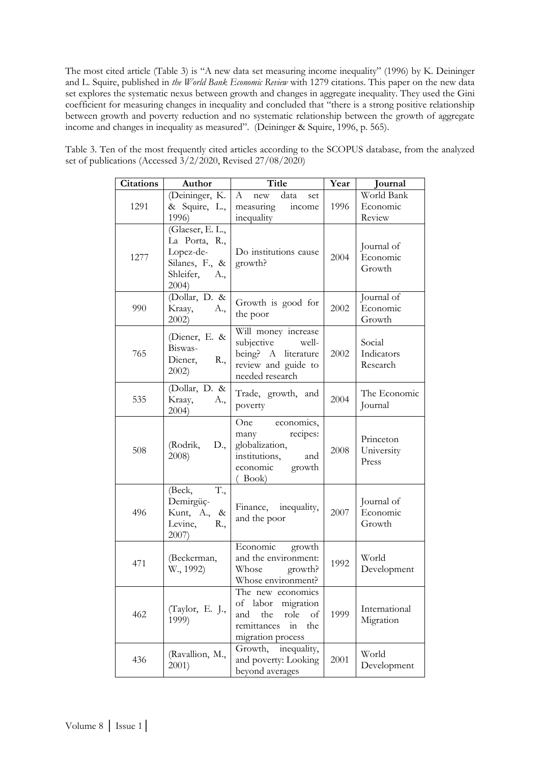The most cited article (Table 3) is "A new data set measuring income inequality" (1996) by K. Deininger and L. Squire, published in *the World Bank Economic Review* with 1279 citations. This paper on the new data set explores the systematic nexus between growth and changes in aggregate inequality. They used the Gini coefficient for measuring changes in inequality and concluded that "there is a strong positive relationship between growth and poverty reduction and no systematic relationship between the growth of aggregate income and changes in inequality as measured". [\(Deininger & Squire, 1996,](#page-13-6) p. 565).

| <b>Citations</b> | Author                                                                                        | <b>Title</b>                                                                                                            | Year | Journal                          |
|------------------|-----------------------------------------------------------------------------------------------|-------------------------------------------------------------------------------------------------------------------------|------|----------------------------------|
| 1291             | (Deininger, K.<br>& Squire, L.,<br>1996)                                                      | $\mathbf{A}$<br>data<br>$\operatorname{new}$<br>set<br>measuring<br>income<br>inequality                                | 1996 | World Bank<br>Economic<br>Review |
| 1277             | (Glaeser, E. L.,<br>La Porta, R.,<br>Lopez-de-<br>Silanes, F., &<br>Shleifer,<br>A.,<br>2004) | Do institutions cause<br>growth?                                                                                        | 2004 | Journal of<br>Economic<br>Growth |
| 990              | (Dollar, D. &<br>Kraay,<br>A.,<br>$2002$ )                                                    | Growth is good for<br>the poor                                                                                          | 2002 | Journal of<br>Economic<br>Growth |
| 765              | (Diener, E. &<br>Biswas-<br>Diener,<br>R.,<br>$2002$ )                                        | Will money increase<br>subjective<br>well-<br>being? A literature<br>review and guide to<br>needed research             | 2002 | Social<br>Indicators<br>Research |
| 535              | (Dollar, D. &<br>Kraay,<br>A.,<br>2004)                                                       | Trade, growth, and<br>poverty                                                                                           | 2004 | The Economic<br>Journal          |
| 508              | (Rodrik,<br>D.,<br>2008)                                                                      | One economics,<br>recipes:<br>many<br>globalization,<br>institutions,<br>and<br>economic<br>growth<br>$($ Book $)$      | 2008 | Princeton<br>University<br>Press |
| 496              | T.,<br>(Beck,<br>Demirgüç-<br>Kunt, A.,<br>$\&$<br>Levine,<br>R.,<br>2007)                    | Finance, inequality,<br>and the poor                                                                                    | 2007 | Journal of<br>Economic<br>Growth |
| 471              | (Beckerman,<br>W., 1992)                                                                      | Economic<br>growth<br>and the environment:<br>Whose<br>growth?<br>Whose environment?                                    | 1992 | World<br>Development             |
| 462              | (Taylor, E. J.,<br>1999)                                                                      | The new economics<br>of labor<br>migration<br>the<br>and<br>role<br>of<br>remittances<br>the<br>in<br>migration process | 1999 | International<br>Migration       |
| 436              | (Ravallion, M.,<br>2001)                                                                      | inequality,<br>Growth,<br>and poverty: Looking<br>beyond averages                                                       | 2001 | World<br>Development             |

Table 3. Ten of the most frequently cited articles according to the SCOPUS database, from the analyzed set of publications (Accessed 3/2/2020, Revised 27/08/2020)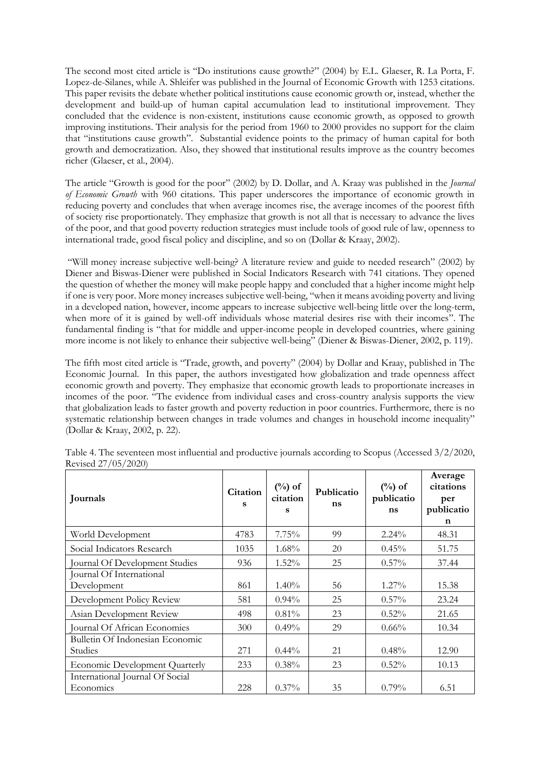The second most cited article is "Do institutions cause growth?" (2004) by E.L. Glaeser, R. La Porta, F. Lopez-de-Silanes, while A. Shleifer was published in the Journal of Economic Growth with 1253 citations. This paper revisits the debate whether political institutions cause economic growth or, instead, whether the development and build-up of human capital accumulation lead to institutional improvement. They concluded that the evidence is non-existent, institutions cause economic growth, as opposed to growth improving institutions. Their analysis for the period from 1960 to 2000 provides no support for the claim that "institutions cause growth". Substantial evidence points to the primacy of human capital for both growth and democratization. Also, they showed that institutional results improve as the country becomes richer [\(Glaeser, et al., 2004\)](#page-13-7).

The article "Growth is good for the poor" (2002) by [D. Dollar,](https://scholar.google.com/citations?user=46NXjwcAAAAJ&hl=en&oi=sra) and [A. Kraay](https://scholar.google.com/citations?user=fcQenm4AAAAJ&hl=en&oi=sra) was published in the *Journal of Economic Growth* with 960 citations. This paper underscores the importance of economic growth in reducing poverty and concludes that when average incomes rise, the average incomes of the poorest fifth of society rise proportionately. They emphasize that growth is not all that is necessary to advance the lives of the poor, and that good poverty reduction strategies must include tools of good rule of law, openness to international trade, good fiscal policy and discipline, and so on [\(Dollar & Kraay, 2002\)](#page-13-10).

"Will money increase subjective well-being? A literature review and guide to needed research" (2002) by Diener and Biswas-Diener were published in Social Indicators Research with 741 citations. They opened the question of whether the money will make people happy and concluded that a higher income might help if one is very poor. More money increases subjective well-being, "when it means avoiding poverty and living in a developed nation, however, income appears to increase subjective well-being little over the long-term, when more of it is gained by well-off individuals whose material desires rise with their incomes". The fundamental finding is "that for middle and upper-income people in developed countries, where gaining more income is not likely to enhance their subjective well-being" [\(Diener & Biswas-Diener,](#page-13-9) 2002, p. 119).

The fifth most cited article is "Trade, growth, and poverty" (2004) by Dollar and Kraay, published in The Economic Journal. In this paper, the authors investigated how globalization and trade openness affect economic growth and poverty. They emphasize that economic growth leads to proportionate increases in incomes of the poor. "The evidence from individual cases and cross-country analysis supports the view that globalization leads to faster growth and poverty reduction in poor countries. Furthermore, there is no systematic relationship between changes in trade volumes and changes in household income inequality" [\(Dollar & Kraay,](#page-13-8) 2002, p. 22).

| Journals                                     | Citation<br>s | $(\%)$ of<br>citation<br>s | Publicatio<br>ns | $(\%)$ of<br>publicatio<br>ns | Average<br>citations<br>per<br>publicatio<br>n |
|----------------------------------------------|---------------|----------------------------|------------------|-------------------------------|------------------------------------------------|
| World Development                            | 4783          | 7.75%                      | 99               | $2.24\%$                      | 48.31                                          |
| Social Indicators Research                   | 1035          | $1.68\%$                   | 20               | $0.45\%$                      | 51.75                                          |
| Journal Of Development Studies               | 936           | $1.52\%$                   | 25               | $0.57\%$                      | 37.44                                          |
| Journal Of International<br>Development      | 861           | $1.40\%$                   | 56               | $1.27\%$                      | 15.38                                          |
| Development Policy Review                    | 581           | $0.94\%$                   | 25               | $0.57\%$                      | 23.24                                          |
| Asian Development Review                     | 498           | 0.81%                      | 23               | 0.52%                         | 21.65                                          |
| Journal Of African Economies                 | 300           | $0.49\%$                   | 29               | $0.66\%$                      | 10.34                                          |
| Bulletin Of Indonesian Economic<br>Studies   | 271           | $0.44\%$                   | 21               | 0.48%                         | 12.90                                          |
| <b>Economic Development Quarterly</b>        | 233           | $0.38\%$                   | 23               | 0.52%                         | 10.13                                          |
| International Journal Of Social<br>Economics | 228           | $0.37\%$                   | 35               | 0.79%                         | 6.51                                           |

Table 4. The seventeen most influential and productive journals according to Scopus (Accessed 3/2/2020, Revised 27/05/2020)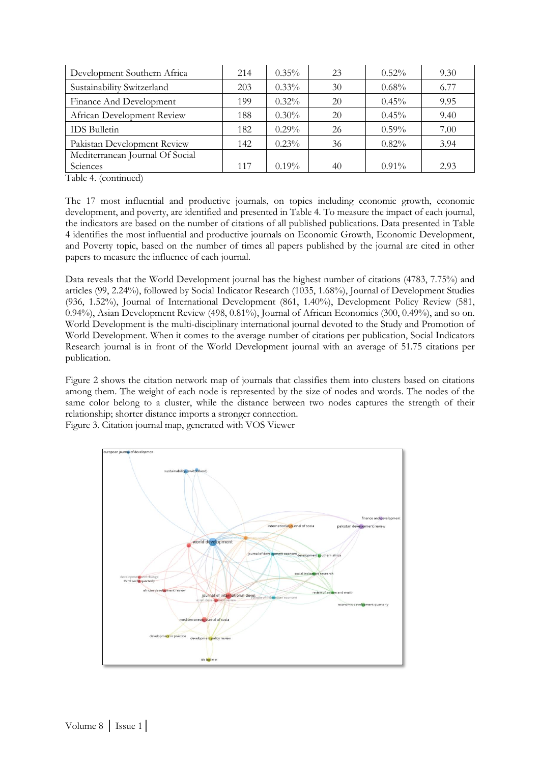| Development Southern Africa     | 214 | $0.35\%$ | 23 | $0.52\%$ | 9.30 |
|---------------------------------|-----|----------|----|----------|------|
| Sustainability Switzerland      | 203 | $0.33\%$ | 30 | $0.68\%$ | 6.77 |
| Finance And Development         | 199 | $0.32\%$ | 20 | 0.45%    | 9.95 |
| African Development Review      | 188 | $0.30\%$ | 20 | $0.45\%$ | 9.40 |
| <b>IDS</b> Bulletin             | 182 | $0.29\%$ | 26 | $0.59\%$ | 7.00 |
| Pakistan Development Review     | 142 | $0.23\%$ | 36 | 0.82%    | 3.94 |
| Mediterranean Journal Of Social |     |          |    |          |      |
| Sciences                        | 117 | $0.19\%$ | 40 | $0.91\%$ | 2.93 |

Table 4. (continued)

The 17 most influential and productive journals, on topics including economic growth, economic development, and poverty, are identified and presented in Table 4. To measure the impact of each journal, the indicators are based on the number of citations of all published publications. Data presented in Table 4 identifies the most influential and productive journals on Economic Growth, Economic Development, and Poverty topic, based on the number of times all papers published by the journal are cited in other papers to measure the influence of each journal.

Data reveals that the World Development journal has the highest number of citations (4783, 7.75%) and articles (99, 2.24%), followed by Social Indicator Research (1035, 1.68%), Journal of Development Studies (936, 1.52%), Journal of International Development (861, 1.40%), Development Policy Review (581, 0.94%), Asian Development Review (498, 0.81%), Journal of African Economies (300, 0.49%), and so on. World Development is the multi-disciplinary international journal devoted to the Study and Promotion of World Development. When it comes to the average number of citations per publication, Social Indicators Research journal is in front of the World Development journal with an average of 51.75 citations per publication.

Figure 2 shows the citation network map of journals that classifies them into clusters based on citations among them. The weight of each node is represented by the size of nodes and words. The nodes of the same color belong to a cluster, while the distance between two nodes captures the strength of their relationship; shorter distance imports a stronger connection.

Figure 3. Citation journal map, generated with VOS Viewer

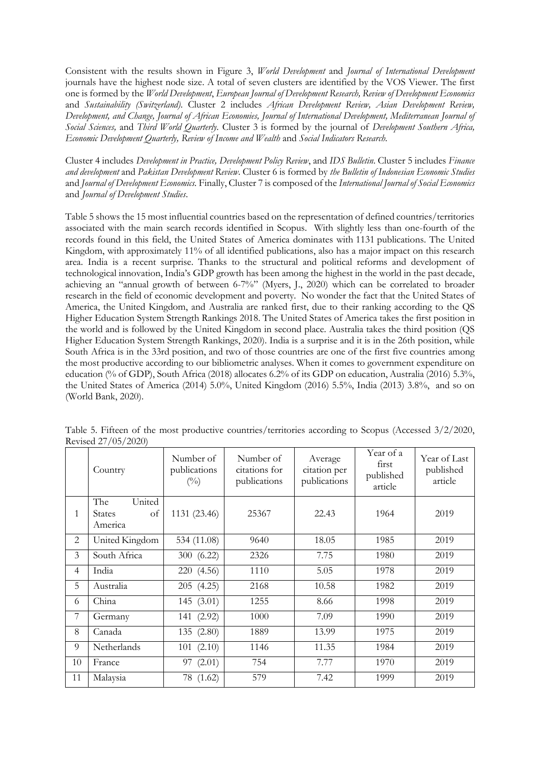Consistent with the results shown in Figure 3, *World Development* and *Journal of International Development*  journals have the highest node size. A total of seven clusters are identified by the VOS Viewer. The first one is formed by the *World Development*, *European Journal of Development Research, Review of Development Economics*  and *Sustainability (Switzerland)*. Cluster 2 includes *African Development Review, Asian Development Review, Development, and Change, Journal of African Economies, Journal of International Development, Mediterranean Journal of Social Sciences,* and *Third World Quarterly.* Cluster 3 is formed by the journal of *Development Southern Africa, Economic Development Quarterly, Review of Income and Wealth* and *Social Indicators Research.* 

Cluster 4 includes *Development in Practice, Development Policy Review*, and *IDS Bulletin*. Cluster 5 includes *Finance and development* and *Pakistan Development Review*. Cluster 6 is formed by *the Bulletin of Indonesian Economic Studies* and *Journal of Development Economics.* Finally, Cluster 7 is composed of the *International Journal of Social Economics*  and *Journal of Development Studies*.

Table 5 shows the 15 most influential countries based on the representation of defined countries/territories associated with the main search records identified in Scopus. With slightly less than one-fourth of the records found in this field, the United States of America dominates with 1131 publications. The United Kingdom, with approximately 11% of all identified publications, also has a major impact on this research area. India is a recent surprise. Thanks to the structural and political reforms and development of technological innovation, India's GDP growth has been among the highest in the world in the past decade, achieving an "annual growth of between 6-7%" [\(Myers, J., 2020\)](#page-14-10) which can be correlated to broader research in the field of economic development and poverty. No wonder the fact that the United States of America, the United Kingdom, and Australia are ranked first, due to their ranking according to the QS Higher Education System Strength Rankings 2018. The United States of America takes the first position in the world and is followed by the United Kingdom in second place. Australia takes the third position (QS Higher Education System Strength Rankings, 2020). India is a surprise and it is in the 26th position, while South Africa is in the 33rd position, and two of those countries are one of the first five countries among the most productive according to our bibliometric analyses. When it comes to government expenditure on education (% of GDP), South Africa (2018) allocates 6.2% of its GDP on education, Australia (2016) 5.3%, the United States of America (2014) 5.0%, United Kingdom (2016) 5.5%, India (2013) 3.8%, and so on (World Bank, 2020).

|                | Country                                         | Number of<br>publications<br>$\binom{0}{0}$ | Number of<br>citations for<br>publications | Average<br>citation per<br>publications | Year of a<br>first<br>published<br>article | Year of Last<br>published<br>article |
|----------------|-------------------------------------------------|---------------------------------------------|--------------------------------------------|-----------------------------------------|--------------------------------------------|--------------------------------------|
| 1              | United<br>The<br><b>States</b><br>of<br>America | 1131 (23.46)                                | 25367                                      | 22.43                                   | 1964                                       | 2019                                 |
| 2              | United Kingdom                                  | 534 (11.08)                                 | 9640                                       | 18.05                                   | 1985                                       | 2019                                 |
| 3              | South Africa                                    | 300 (6.22)                                  | 2326                                       | 7.75                                    | 1980                                       | 2019                                 |
| 4              | India                                           | 220 (4.56)                                  | 1110                                       | 5.05                                    | 1978                                       | 2019                                 |
| 5              | Australia                                       | 205(4.25)                                   | 2168                                       | 10.58                                   | 1982                                       | 2019                                 |
| 6              | China                                           | 145 (3.01)                                  | 1255                                       | 8.66                                    | 1998                                       | 2019                                 |
| $\overline{7}$ | Germany                                         | 141 (2.92)                                  | 1000                                       | 7.09                                    | 1990                                       | 2019                                 |
| 8              | Canada                                          | 135 (2.80)                                  | 1889                                       | 13.99                                   | 1975                                       | 2019                                 |
| 9              | Netherlands                                     | 101(2.10)                                   | 1146                                       | 11.35                                   | 1984                                       | 2019                                 |
| 10             | France                                          | 97 (2.01)                                   | 754                                        | 7.77                                    | 1970                                       | 2019                                 |
| 11             | Malaysia                                        | 78 (1.62)                                   | 579                                        | 7.42                                    | 1999                                       | 2019                                 |

Table 5. Fifteen of the most productive countries/territories according to Scopus (Accessed 3/2/2020, Revised 27/05/2020)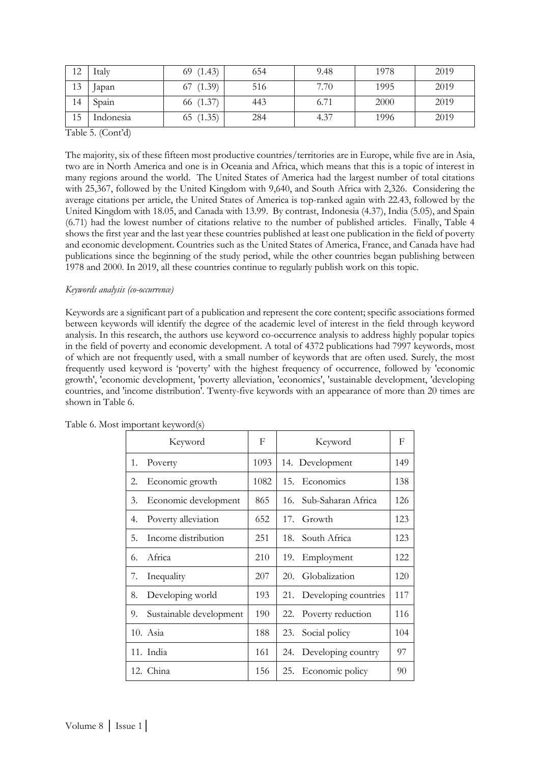| 12 | Italy     | 69(1.43)  | 654 | 9.48 | 1978 | 2019 |
|----|-----------|-----------|-----|------|------|------|
| 13 | Japan     | 67(1.39)  | 516 | 7.70 | 1995 | 2019 |
| 14 | Spain     | 66 (1.37) | 443 | 6.71 | 2000 | 2019 |
| 15 | Indonesia | 65(1.35)  | 284 | 4.37 | 1996 | 2019 |

Table 5. (Cont'd)

The majority, six of these fifteen most productive countries/territories are in Europe, while five are in Asia, two are in North America and one is in Oceania and Africa, which means that this is a topic of interest in many regions around the world. The United States of America had the largest number of total citations with 25,367, followed by the United Kingdom with 9,640, and South Africa with 2,326. Considering the average citations per article, the United States of America is top-ranked again with 22.43, followed by the United Kingdom with 18.05, and Canada with 13.99. By contrast, Indonesia (4.37), India (5.05), and Spain (6.71) had the lowest number of citations relative to the number of published articles. Finally, Table 4 shows the first year and the last year these countries published at least one publication in the field of poverty and economic development. Countries such as the United States of America, France, and Canada have had publications since the beginning of the study period, while the other countries began publishing between 1978 and 2000. In 2019, all these countries continue to regularly publish work on this topic.

### *Keywords analysis (co-occurrence)*

Keywords are a significant part of a publication and represent the core content; specific associations formed between keywords will identify the degree of the academic level of interest in the field through keyword analysis. In this research, the authors use keyword co-occurrence analysis to address highly popular topics in the field of poverty and economic development. A total of 4372 publications had 7997 keywords, most of which are not frequently used, with a small number of keywords that are often used. Surely, the most frequently used keyword is 'poverty' with the highest frequency of occurrence, followed by 'economic growth', 'economic development, 'poverty alleviation, 'economics', 'sustainable development, 'developing countries, and 'income distribution'. Twenty-five keywords with an appearance of more than 20 times are shown in Table 6.

|    | Keyword                 | F    | Keyword                     | F   |
|----|-------------------------|------|-----------------------------|-----|
| 1. | Poverty                 | 1093 | 14. Development             | 149 |
| 2. | Economic growth         | 1082 | 15.<br>Economics            | 138 |
| 3. | Economic development    | 865  | Sub-Saharan Africa<br>16.   | 126 |
| 4. | Poverty alleviation     | 652  | 17.<br>Growth               | 123 |
| 5. | Income distribution     | 251  | South Africa<br>18.         | 123 |
| 6. | Africa                  | 210  | Employment<br>19.           | 122 |
| 7. | Inequality              | 207  | Globalization<br>20.        | 120 |
| 8. | Developing world        | 193  | Developing countries<br>21. | 117 |
| 9. | Sustainable development | 190  | Poverty reduction<br>22.    | 116 |
|    | 10. Asia                | 188  | Social policy<br>23.        | 104 |
|    | 11. India               | 161  | Developing country<br>24.   | 97  |
|    | 12. China               | 156  | Economic policy<br>25.      | 90  |

Table 6. Most important keyword(s)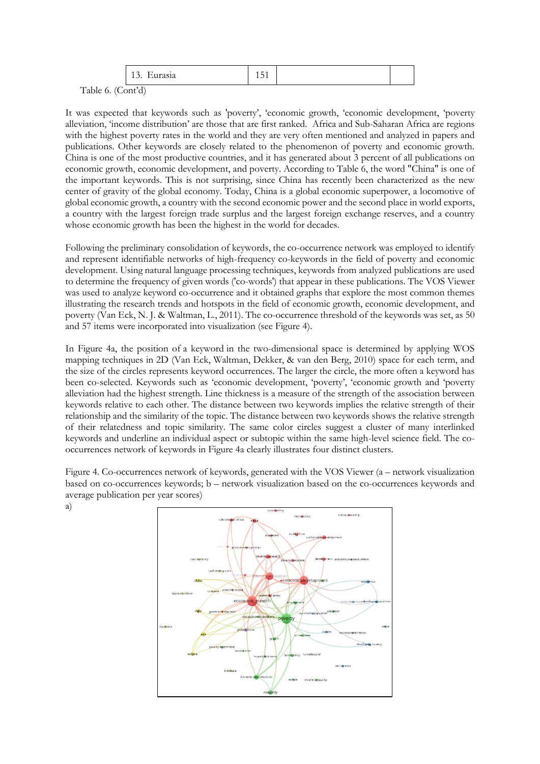|                          | $\sim$<br><b>Eulasia</b><br>. | -<br>$1 \vee 1$ |  |  |
|--------------------------|-------------------------------|-----------------|--|--|
| $\sqrt{2}$<br>$\sqrt{1}$ | .5.11                         |                 |  |  |

Table 6. (Cont'd)

a)

It was expected that keywords such as 'poverty', 'economic growth, 'economic development, 'poverty alleviation, 'income distribution' are those that are first ranked. Africa and Sub-Saharan Africa are regions with the highest poverty rates in the world and they are very often mentioned and analyzed in papers and publications. Other keywords are closely related to the phenomenon of poverty and economic growth. China is one of the most productive countries, and it has generated about 3 percent of all publications on economic growth, economic development, and poverty. According to Table 6, the word "China" is one of the important keywords. This is not surprising, since China has recently been characterized as the new center of gravity of the global economy. Today, China is a global economic superpower, a locomotive of global economic growth, a country with the second economic power and the second place in world exports, a country with the largest foreign trade surplus and the largest foreign exchange reserves, and a country whose economic growth has been the highest in the world for decades.

Following the preliminary consolidation of keywords, the co-occurrence network was employed to identify and represent identifiable networks of high-frequency co-keywords in the field of poverty and economic development. Using natural language processing techniques, keywords from analyzed publications are used to determine the frequency of given words ('co-words') that appear in these publications. The VOS Viewer was used to analyze keyword co-occurrence and it obtained graphs that explore the most common themes illustrating the research trends and hotspots in the field of economic growth, economic development, and poverty [\(Van Eck, N. J. & Waltman, L., 2011\)](#page-14-11). The co-occurrence threshold of the keywords was set, as 50 and 57 items were incorporated into visualization (see Figure 4).

In Figure 4a, the position of a keyword in the two-dimensional space is determined by applying WOS mapping techniques in 2D [\(Van Eck, Waltman, Dekker, & van den Berg, 2010\)](#page-15-2) space for each term, and the size of the circles represents keyword occurrences. The larger the circle, the more often a keyword has been co-selected. Keywords such as 'economic development, 'poverty', 'economic growth and 'poverty alleviation had the highest strength. Line thickness is a measure of the strength of the association between keywords relative to each other. The distance between two keywords implies the relative strength of their relationship and the similarity of the topic. The distance between two keywords shows the relative strength of their relatedness and topic similarity. The same color circles suggest a cluster of many interlinked keywords and underline an individual aspect or subtopic within the same high-level science field. The cooccurrences network of keywords in Figure 4a clearly illustrates four distinct clusters.

Figure 4. Co-occurrences network of keywords, generated with the VOS Viewer (a – network visualization based on co-occurrences keywords; b – network visualization based on the co-occurrences keywords and average publication per year scores)

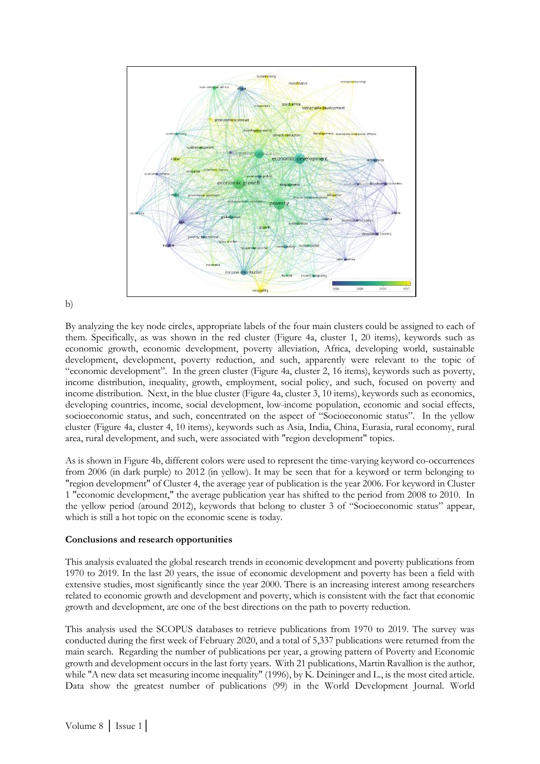

### b)

By analyzing the key node circles, appropriate labels of the four main clusters could be assigned to each of them. Specifically, as was shown in the red cluster (Figure 4a, cluster 1, 20 items), keywords such as economic growth, economic development, poverty alleviation, Africa, developing world, sustainable development, development, poverty reduction, and such, apparently were relevant to the topic of "economic development". In the green cluster (Figure 4a, cluster 2, 16 items), keywords such as poverty, income distribution, inequality, growth, employment, social policy, and such, focused on poverty and income distribution. Next, in the blue cluster (Figure 4a, cluster 3, 10 items), keywords such as economics, developing countries, income, social development, low-income population, economic and social effects, socioeconomic status, and such, concentrated on the aspect of "Socioeconomic status". In the yellow cluster (Figure 4a, cluster 4, 10 items), keywords such as Asia, India, China, Eurasia, rural economy, rural area, rural development, and such, were associated with "region development" topics.

As is shown in Figure 4b, different colors were used to represent the time-varying keyword co-occurrences from 2006 (in dark purple) to 2012 (in yellow). It may be seen that for a keyword or term belonging to "region development" of Cluster 4, the average year of publication is the year 2006. For keyword in Cluster 1 "economic development," the average publication year has shifted to the period from 2008 to 2010. In the yellow period (around 2012), keywords that belong to cluster 3 of "Socioeconomic status" appear, which is still a hot topic on the economic scene is today.

### **Conclusions and research opportunities**

This analysis evaluated the global research trends in economic development and poverty publications from 1970 to 2019. In the last 20 years, the issue of economic development and poverty has been a field with extensive studies, most significantly since the year 2000. There is an increasing interest among researchers related to economic growth and development and poverty, which is consistent with the fact that economic growth and development, are one of the best directions on the path to poverty reduction.

This analysis used the SCOPUS databases to retrieve publications from 1970 to 2019. The survey was conducted during the first week of February 2020, and a total of 5,337 publications were returned from the main search. Regarding the number of publications per year, a growing pattern of Poverty and Economic growth and development occurs in the last forty years. With 21 publications, Martin Ravallion is the author, while "A new data set measuring income inequality" (1996), by K. Deininger and L., is the most cited article. Data show the greatest number of publications (99) in the World Development Journal. World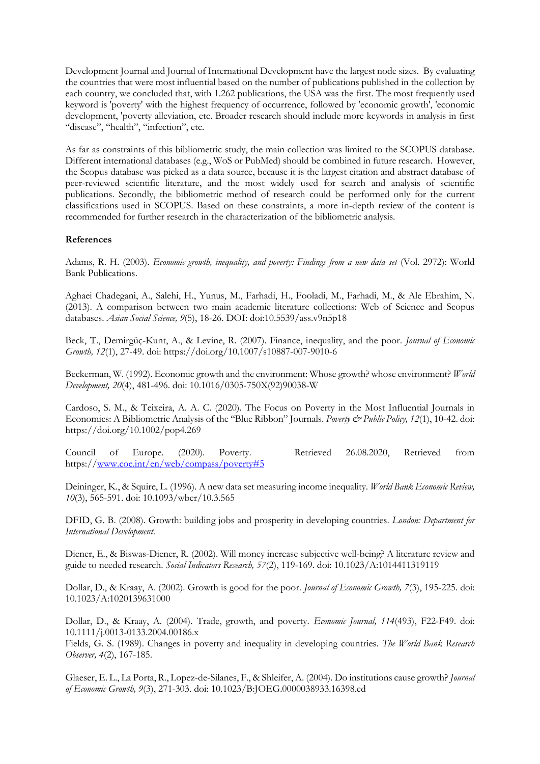Development Journal and Journal of International Development have the largest node sizes. By evaluating the countries that were most influential based on the number of publications published in the collection by each country, we concluded that, with 1.262 publications, the USA was the first. The most frequently used keyword is 'poverty' with the highest frequency of occurrence, followed by 'economic growth', 'economic development, 'poverty alleviation, etc. Broader research should include more keywords in analysis in first "disease", "health", "infection", etc.

As far as constraints of this bibliometric study, the main collection was limited to the SCOPUS database. Different international databases (e.g., WoS or PubMed) should be combined in future research. However, the Scopus database was picked as a data source, because it is the largest citation and abstract database of peer-reviewed scientific literature, and the most widely used for search and analysis of scientific publications. Secondly, the bibliometric method of research could be performed only for the current classifications used in SCOPUS. Based on these constraints, a more in-depth review of the content is recommended for further research in the characterization of the bibliometric analysis.

### **References**

<span id="page-13-1"></span>Adams, R. H. (2003). *Economic growth, inequality, and poverty: Findings from a new data set* (Vol. 2972): World Bank Publications.

<span id="page-13-5"></span>Aghaei Chadegani, A., Salehi, H., Yunus, M., Farhadi, H., Fooladi, M., Farhadi, M., & Ale Ebrahim, N. (2013). A comparison between two main academic literature collections: Web of Science and Scopus databases. *Asian Social Science, 9*(5), 18-26. DOI: doi:10.5539/ass.v9n5p18

<span id="page-13-11"></span>Beck, T., Demirgüç-Kunt, A., & Levine, R. (2007). Finance, inequality, and the poor. *Journal of Economic Growth, 12*(1), 27-49. doi: https://doi.org/10.1007/s10887-007-9010-6

<span id="page-13-12"></span>Beckerman, W. (1992). Economic growth and the environment: Whose growth? whose environment? *World Development, 20*(4), 481-496. doi: 10.1016/0305-750X(92)90038-W

<span id="page-13-4"></span>Cardoso, S. M., & Teixeira, A. A. C. (2020). The Focus on Poverty in the Most Influential Journals in Economics: A Bibliometric Analysis of the "Blue Ribbon" Journals. *Poverty & Public Policy, 12*(1), 10-42. doi: https://doi.org/10.1002/pop4.269

<span id="page-13-0"></span>Council of Europe. (2020). Poverty. Retrieved 26.08.2020, Retrieved from https:/[/www.coe.int/en/web/compass/poverty#5](http://www.coe.int/en/web/compass/poverty#5)

<span id="page-13-6"></span>Deininger, K., & Squire, L. (1996). A new data set measuring income inequality. *World Bank Economic Review, 10*(3), 565-591. doi: 10.1093/wber/10.3.565

<span id="page-13-3"></span>DFID, G. B. (2008). Growth: building jobs and prosperity in developing countries. *London: Department for International Development*.

<span id="page-13-9"></span>Diener, E., & Biswas-Diener, R. (2002). Will money increase subjective well-being? A literature review and guide to needed research. *Social Indicators Research, 57*(2), 119-169. doi: 10.1023/A:1014411319119

<span id="page-13-8"></span>Dollar, D., & Kraay, A. (2002). Growth is good for the poor. *Journal of Economic Growth, 7*(3), 195-225. doi: 10.1023/A:1020139631000

<span id="page-13-10"></span>Dollar, D., & Kraay, A. (2004). Trade, growth, and poverty. *Economic Journal, 114*(493), F22-F49. doi: 10.1111/j.0013-0133.2004.00186.x

<span id="page-13-2"></span>Fields, G. S. (1989). Changes in poverty and inequality in developing countries. *The World Bank Research Observer, 4*(2), 167-185.

<span id="page-13-7"></span>Glaeser, E. L., La Porta, R., Lopez-de-Silanes, F., & Shleifer, A. (2004). Do institutions cause growth? *Journal of Economic Growth, 9*(3), 271-303. doi: 10.1023/B:JOEG.0000038933.16398.ed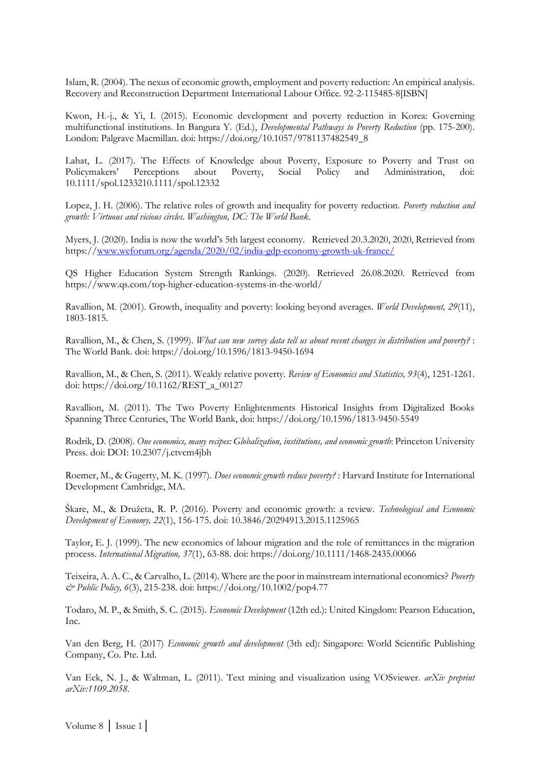Islam, R. (2004). The nexus of economic growth, employment and poverty reduction: An empirical analysis. Recovery and Reconstruction Department International Labour Office. 92-2-115485-8[ISBN]

<span id="page-14-1"></span>Kwon, H.-j., & Yi, I. (2015). Economic development and poverty reduction in Korea: Governing multifunctional institutions. In Bangura Y. (Ed.), *Developmental Pathways to Poverty Reduction* (pp. 175-200). London: Palgrave Macmillan. doi: https://doi.org/10.1057/9781137482549\_8

Lahat, L. (2017). The Effects of Knowledge about Poverty, Exposure to Poverty and Trust on Policymakers' Perceptions about Poverty, Social Policy and Administration, doi: 10.1111/spol.1233210.1111/spol.12332

<span id="page-14-2"></span>Lopez, J. H. (2006). The relative roles of growth and inequality for poverty reduction. *Poverty reduction and growth: Virtuous and vicious circles. Washington, DC: The World Bank*.

<span id="page-14-10"></span>Myers, J. (2020). India is now the world's 5th largest economy. Retrieved 20.3.2020, 2020, Retrieved from https:/[/www.weforum.org/agenda/2020/02/india-gdp-economy-growth-uk-france/](http://www.weforum.org/agenda/2020/02/india-gdp-economy-growth-uk-france/)

QS Higher Education System Strength Rankings. (2020). Retrieved 26.08.2020. Retrieved from https://www.qs.com/top-higher-education-systems-in-the-world/

<span id="page-14-9"></span>Ravallion, M. (2001). Growth, inequality and poverty: looking beyond averages. *World Development, 29*(11), 1803-1815.

<span id="page-14-3"></span>Ravallion, M., & Chen, S. (1999). *What can new survey data tell us about recent changes in distribution and poverty?* : The World Bank. doi: https://doi.org/10.1596/1813-9450-1694

<span id="page-14-0"></span>Ravallion, M., & Chen, S. (2011). Weakly relative poverty. *Review of Economics and Statistics, 93*(4), 1251-1261. doi: https://doi.org/10.1162/REST\_a\_00127

Ravallion, M. (2011). The Two Poverty Enlightenments Historical Insights from Digitalized Books Spanning Three Centuries, The World Bank, doi: https://doi.org/10.1596/1813-9450-5549

<span id="page-14-7"></span>Rodrik, D. (2008). *One economics, many recipes: Globalization, institutions, and economic growth*: Princeton University Press. doi: DOI: 10.2307/j.ctvcm4jbh

<span id="page-14-4"></span>Roemer, M., & Gugerty, M. K. (1997). *Does economic growth reduce poverty?* : Harvard Institute for International Development Cambridge, MA.

<span id="page-14-5"></span>Škare, M., & Družeta, R. P. (2016). Poverty and economic growth: a review. *Technological and Economic Development of Economy, 22*(1), 156-175. doi: 10.3846/20294913.2015.1125965

<span id="page-14-8"></span>Taylor, E. J. (1999). The new economics of labour migration and the role of remittances in the migration process. *International Migration, 37*(1), 63-88. doi: https://doi.org/10.1111/1468-2435.00066

<span id="page-14-6"></span>Teixeira, A. A. C., & Carvalho, L. (2014). Where are the poor in mainstream international economics? *Poverty & Public Policy, 6*(3), 215-238. doi: https://doi.org/10.1002/pop4.77

<span id="page-14-11"></span>Todaro, M. P., & Smith, S. C. (2015). *Economic Development* (12th ed.): United Kingdom: Pearson Education, Inc.

Van den Berg, H. (2017) *[Economic growth and development](https://scholar.google.com/scholar?oi=bibs&cluster=17957933836490654777&btnI=1&hl=en)* (3th ed): Singapore: World Scientific Publishing Company, Co. Pte. Ltd.

Van Eck, N. J., & Waltman, L. (2011). Text mining and visualization using VOSviewer. *arXiv preprint arXiv:1109.2058*.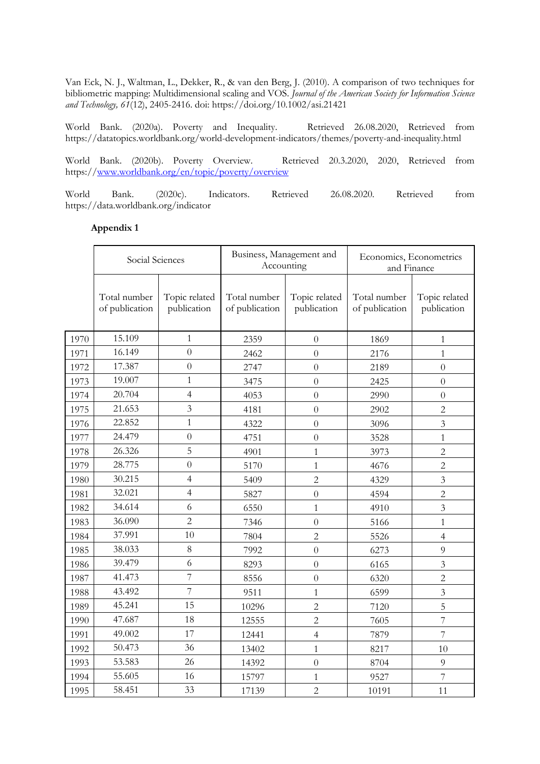<span id="page-15-2"></span>Van Eck, N. J., Waltman, L., Dekker, R., & van den Berg, J. (2010). A comparison of two techniques for bibliometric mapping: Multidimensional scaling and VOS. *Journal of the American Society for Information Science and Technology, 61*(12), 2405-2416. doi: https://doi.org/10.1002/asi.21421

<span id="page-15-0"></span>World Bank. (2020a). Poverty and Inequality. Retrieved 26.08.2020, Retrieved from https://datatopics.worldbank.org/world-development-indicators/themes/poverty-and-inequality.html

<span id="page-15-1"></span>World Bank. (2020b). Poverty Overview. Retrieved 20.3.2020, 2020, Retrieved from https:/[/www.worldbank.org/en/topic/poverty/overview](http://www.worldbank.org/en/topic/poverty/overview)

World Bank. (2020c). Indicators. Retrieved 26.08.2020. Retrieved from https://data.worldbank.org/indicator

### **Appendix 1**

|      | Social Sciences                |                              | Business, Management and<br>Accounting |                              | Economics, Econometrics<br>and Finance |                              |
|------|--------------------------------|------------------------------|----------------------------------------|------------------------------|----------------------------------------|------------------------------|
|      | Total number<br>of publication | Topic related<br>publication | Total number<br>of publication         | Topic related<br>publication | Total number<br>of publication         | Topic related<br>publication |
| 1970 | 15.109                         | $\mathbf{1}$                 | 2359                                   | $\overline{0}$               | 1869                                   | $\mathbf{1}$                 |
| 1971 | 16.149                         | $\theta$                     | 2462                                   | $\overline{0}$               | 2176                                   | $\mathbf{1}$                 |
| 1972 | 17.387                         | $\overline{0}$               | 2747                                   | $\theta$                     | 2189                                   | $\overline{0}$               |
| 1973 | 19.007                         | $\mathbf{1}$                 | 3475                                   | $\overline{0}$               | 2425                                   | $\overline{0}$               |
| 1974 | 20.704                         | $\overline{4}$               | 4053                                   | $\overline{0}$               | 2990                                   | $\overline{0}$               |
| 1975 | 21.653                         | 3                            | 4181                                   | $\theta$                     | 2902                                   | $\overline{2}$               |
| 1976 | 22.852                         | $\mathbf{1}$                 | 4322                                   | $\overline{0}$               | 3096                                   | $\overline{3}$               |
| 1977 | 24.479                         | $\overline{0}$               | 4751                                   | $\overline{0}$               | 3528                                   | $\mathbf{1}$                 |
| 1978 | 26.326                         | 5                            | 4901                                   | $\mathbf{1}$                 | 3973                                   | $\overline{c}$               |
| 1979 | 28.775                         | $\overline{0}$               | 5170                                   | $\mathbf{1}$                 | 4676                                   | $\overline{c}$               |
| 1980 | 30.215                         | $\overline{4}$               | 5409                                   | 2                            | 4329                                   | 3                            |
| 1981 | 32.021                         | $\overline{4}$               | 5827                                   | $\boldsymbol{0}$             | 4594                                   | $\overline{2}$               |
| 1982 | 34.614                         | 6                            | 6550                                   | $\mathbf{1}$                 | 4910                                   | $\overline{3}$               |
| 1983 | 36.090                         | $\overline{c}$               | 7346                                   | $\theta$                     | 5166                                   | $\mathbf{1}$                 |
| 1984 | 37.991                         | 10                           | 7804                                   | $\overline{2}$               | 5526                                   | $\overline{4}$               |
| 1985 | 38.033                         | $8\,$                        | 7992                                   | $\overline{0}$               | 6273                                   | 9                            |
| 1986 | 39.479                         | 6                            | 8293                                   | $\theta$                     | 6165                                   | $\overline{3}$               |
| 1987 | 41.473                         | 7                            | 8556                                   | $\theta$                     | 6320                                   | $\overline{2}$               |
| 1988 | 43.492                         | 7                            | 9511                                   | $\mathbf{1}$                 | 6599                                   | 3                            |
| 1989 | 45.241                         | 15                           | 10296                                  | $\overline{2}$               | 7120                                   | 5                            |
| 1990 | 47.687                         | 18                           | 12555                                  | $\overline{c}$               | 7605                                   | $\overline{7}$               |
| 1991 | 49.002                         | 17                           | 12441                                  | $\overline{4}$               | 7879                                   | $\overline{7}$               |
| 1992 | 50.473                         | 36                           | 13402                                  | $\mathbf{1}$                 | 8217                                   | 10                           |
| 1993 | 53.583                         | 26                           | 14392                                  | $\boldsymbol{0}$             | 8704                                   | $\overline{9}$               |
| 1994 | 55.605                         | 16                           | 15797                                  | 1                            | 9527                                   | $\overline{7}$               |
| 1995 | 58.451                         | 33                           | 17139                                  | $\overline{2}$               | 10191                                  | 11                           |